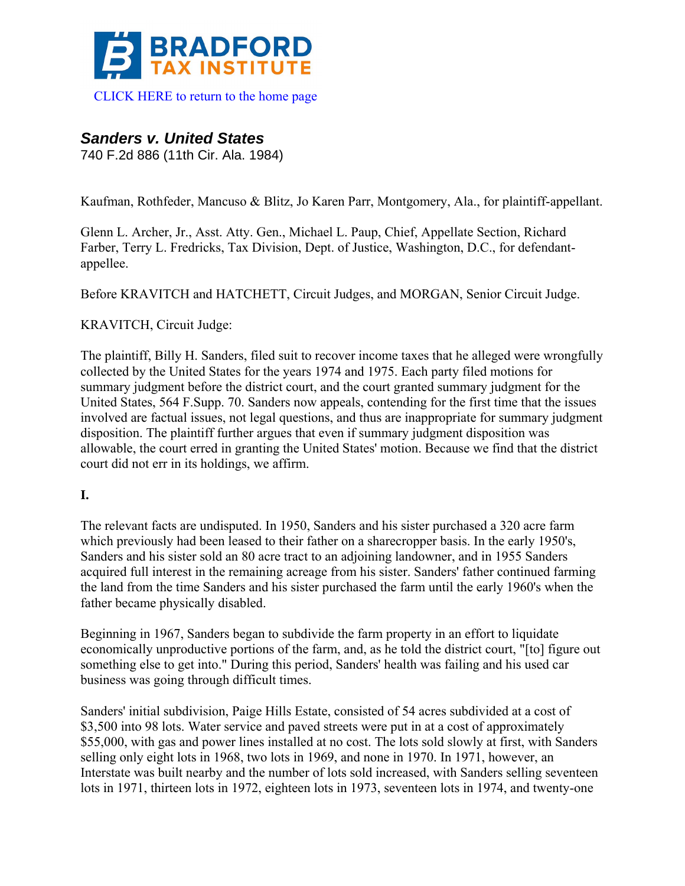

[CLICK HERE to return to the home page](http://www.bradfordtaxinstitute.com/) 

# *Sanders v. United States*

740 F.2d 886 (11th Cir. Ala. 1984)

Kaufman, Rothfeder, Mancuso & Blitz, Jo Karen Parr, Montgomery, Ala., for plaintiff-appellant.

Glenn L. Archer, Jr., Asst. Atty. Gen., Michael L. Paup, Chief, Appellate Section, Richard Farber, Terry L. Fredricks, Tax Division, Dept. of Justice, Washington, D.C., for defendantappellee.

Before KRAVITCH and HATCHETT, Circuit Judges, and MORGAN, Senior Circuit Judge.

#### KRAVITCH, Circuit Judge:

The plaintiff, Billy H. Sanders, filed suit to recover income taxes that he alleged were wrongfully collected by the United States for the years 1974 and 1975. Each party filed motions for summary judgment before the district court, and the court granted summary judgment for the United States, 564 F.Supp. 70. Sanders now appeals, contending for the first time that the issues involved are factual issues, not legal questions, and thus are inappropriate for summary judgment disposition. The plaintiff further argues that even if summary judgment disposition was allowable, the court erred in granting the United States' motion. Because we find that the district court did not err in its holdings, we affirm.

#### **I.**

The relevant facts are undisputed. In 1950, Sanders and his sister purchased a 320 acre farm which previously had been leased to their father on a sharecropper basis. In the early 1950's, Sanders and his sister sold an 80 acre tract to an adjoining landowner, and in 1955 Sanders acquired full interest in the remaining acreage from his sister. Sanders' father continued farming the land from the time Sanders and his sister purchased the farm until the early 1960's when the father became physically disabled.

Beginning in 1967, Sanders began to subdivide the farm property in an effort to liquidate economically unproductive portions of the farm, and, as he told the district court, "[to] figure out something else to get into." During this period, Sanders' health was failing and his used car business was going through difficult times.

Sanders' initial subdivision, Paige Hills Estate, consisted of 54 acres subdivided at a cost of \$3,500 into 98 lots. Water service and paved streets were put in at a cost of approximately \$55,000, with gas and power lines installed at no cost. The lots sold slowly at first, with Sanders selling only eight lots in 1968, two lots in 1969, and none in 1970. In 1971, however, an Interstate was built nearby and the number of lots sold increased, with Sanders selling seventeen lots in 1971, thirteen lots in 1972, eighteen lots in 1973, seventeen lots in 1974, and twenty-one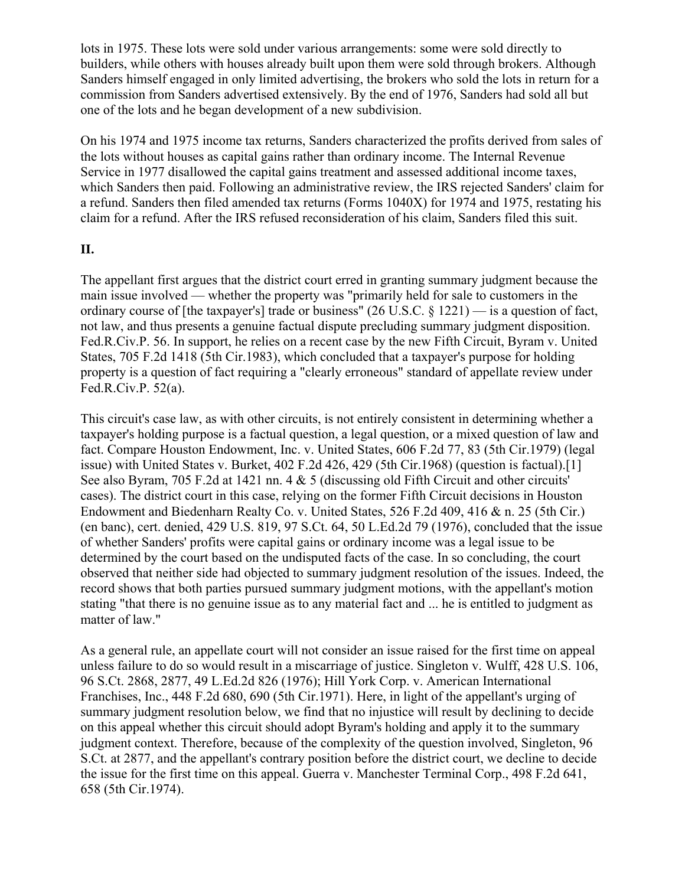lots in 1975. These lots were sold under various arrangements: some were sold directly to builders, while others with houses already built upon them were sold through brokers. Although Sanders himself engaged in only limited advertising, the brokers who sold the lots in return for a commission from Sanders advertised extensively. By the end of 1976, Sanders had sold all but one of the lots and he began development of a new subdivision.

On his 1974 and 1975 income tax returns, Sanders characterized the profits derived from sales of the lots without houses as capital gains rather than ordinary income. The Internal Revenue Service in 1977 disallowed the capital gains treatment and assessed additional income taxes, which Sanders then paid. Following an administrative review, the IRS rejected Sanders' claim for a refund. Sanders then filed amended tax returns (Forms 1040X) for 1974 and 1975, restating his claim for a refund. After the IRS refused reconsideration of his claim, Sanders filed this suit.

#### **II.**

The appellant first argues that the district court erred in granting summary judgment because the main issue involved — whether the property was "primarily held for sale to customers in the ordinary course of [the taxpayer's] trade or business" (26 U.S.C. § 1221) — is a question of fact, not law, and thus presents a genuine factual dispute precluding summary judgment disposition. Fed.R.Civ.P. 56. In support, he relies on a recent case by the new Fifth Circuit, Byram v. United States, 705 F.2d 1418 (5th Cir.1983), which concluded that a taxpayer's purpose for holding property is a question of fact requiring a "clearly erroneous" standard of appellate review under Fed.R.Civ.P. 52(a).

This circuit's case law, as with other circuits, is not entirely consistent in determining whether a taxpayer's holding purpose is a factual question, a legal question, or a mixed question of law and fact. Compare Houston Endowment, Inc. v. United States, 606 F.2d 77, 83 (5th Cir.1979) (legal issue) with United States v. Burket, 402 F.2d 426, 429 (5th Cir.1968) (question is factual).[1] See also Byram, 705 F.2d at 1421 nn. 4 & 5 (discussing old Fifth Circuit and other circuits' cases). The district court in this case, relying on the former Fifth Circuit decisions in Houston Endowment and Biedenharn Realty Co. v. United States, 526 F.2d 409, 416 & n. 25 (5th Cir.) (en banc), cert. denied, 429 U.S. 819, 97 S.Ct. 64, 50 L.Ed.2d 79 (1976), concluded that the issue of whether Sanders' profits were capital gains or ordinary income was a legal issue to be determined by the court based on the undisputed facts of the case. In so concluding, the court observed that neither side had objected to summary judgment resolution of the issues. Indeed, the record shows that both parties pursued summary judgment motions, with the appellant's motion stating "that there is no genuine issue as to any material fact and ... he is entitled to judgment as matter of law."

As a general rule, an appellate court will not consider an issue raised for the first time on appeal unless failure to do so would result in a miscarriage of justice. Singleton v. Wulff, 428 U.S. 106, 96 S.Ct. 2868, 2877, 49 L.Ed.2d 826 (1976); Hill York Corp. v. American International Franchises, Inc., 448 F.2d 680, 690 (5th Cir.1971). Here, in light of the appellant's urging of summary judgment resolution below, we find that no injustice will result by declining to decide on this appeal whether this circuit should adopt Byram's holding and apply it to the summary judgment context. Therefore, because of the complexity of the question involved, Singleton, 96 S.Ct. at 2877, and the appellant's contrary position before the district court, we decline to decide the issue for the first time on this appeal. Guerra v. Manchester Terminal Corp., 498 F.2d 641, 658 (5th Cir.1974).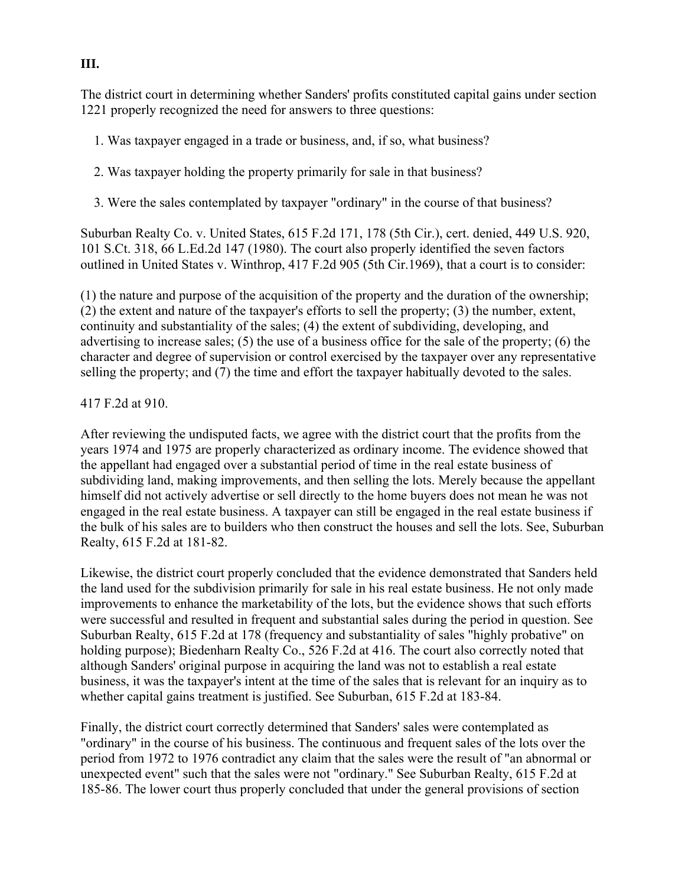The district court in determining whether Sanders' profits constituted capital gains under section 1221 properly recognized the need for answers to three questions:

- 1. Was taxpayer engaged in a trade or business, and, if so, what business?
- 2. Was taxpayer holding the property primarily for sale in that business?
- 3. Were the sales contemplated by taxpayer "ordinary" in the course of that business?

Suburban Realty Co. v. United States, 615 F.2d 171, 178 (5th Cir.), cert. denied, 449 U.S. 920, 101 S.Ct. 318, 66 L.Ed.2d 147 (1980). The court also properly identified the seven factors outlined in United States v. Winthrop, 417 F.2d 905 (5th Cir.1969), that a court is to consider:

(1) the nature and purpose of the acquisition of the property and the duration of the ownership; (2) the extent and nature of the taxpayer's efforts to sell the property; (3) the number, extent, continuity and substantiality of the sales; (4) the extent of subdividing, developing, and advertising to increase sales; (5) the use of a business office for the sale of the property; (6) the character and degree of supervision or control exercised by the taxpayer over any representative selling the property; and (7) the time and effort the taxpayer habitually devoted to the sales.

#### 417 F.2d at 910.

After reviewing the undisputed facts, we agree with the district court that the profits from the years 1974 and 1975 are properly characterized as ordinary income. The evidence showed that the appellant had engaged over a substantial period of time in the real estate business of subdividing land, making improvements, and then selling the lots. Merely because the appellant himself did not actively advertise or sell directly to the home buyers does not mean he was not engaged in the real estate business. A taxpayer can still be engaged in the real estate business if the bulk of his sales are to builders who then construct the houses and sell the lots. See, Suburban Realty, 615 F.2d at 181-82.

Likewise, the district court properly concluded that the evidence demonstrated that Sanders held the land used for the subdivision primarily for sale in his real estate business. He not only made improvements to enhance the marketability of the lots, but the evidence shows that such efforts were successful and resulted in frequent and substantial sales during the period in question. See Suburban Realty, 615 F.2d at 178 (frequency and substantiality of sales "highly probative" on holding purpose); Biedenharn Realty Co., 526 F.2d at 416. The court also correctly noted that although Sanders' original purpose in acquiring the land was not to establish a real estate business, it was the taxpayer's intent at the time of the sales that is relevant for an inquiry as to whether capital gains treatment is justified. See Suburban, 615 F.2d at 183-84.

Finally, the district court correctly determined that Sanders' sales were contemplated as "ordinary" in the course of his business. The continuous and frequent sales of the lots over the period from 1972 to 1976 contradict any claim that the sales were the result of "an abnormal or unexpected event" such that the sales were not "ordinary." See Suburban Realty, 615 F.2d at 185-86. The lower court thus properly concluded that under the general provisions of section

#### **III.**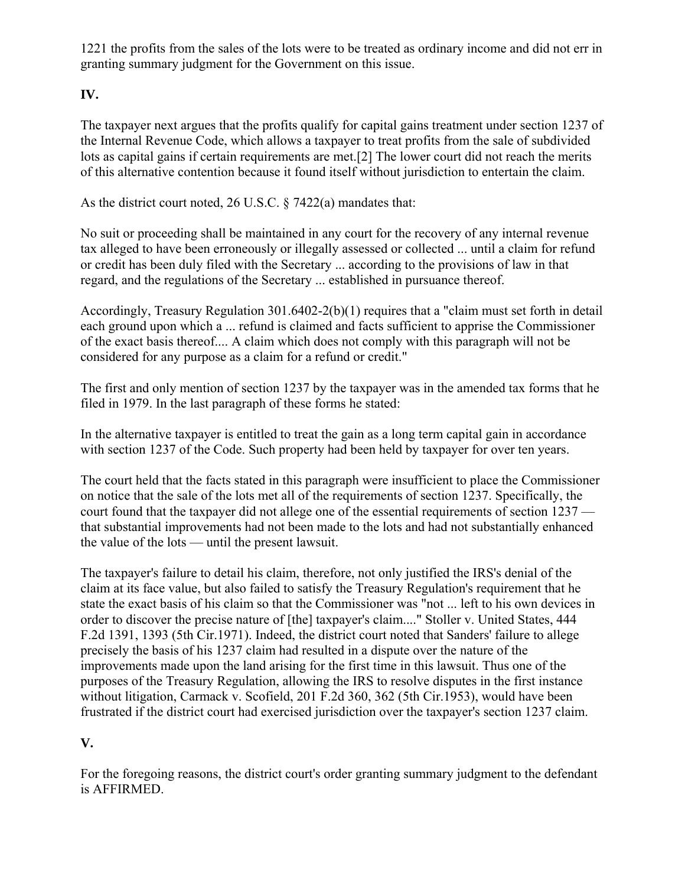1221 the profits from the sales of the lots were to be treated as ordinary income and did not err in granting summary judgment for the Government on this issue.

## **IV.**

The taxpayer next argues that the profits qualify for capital gains treatment under section 1237 of the Internal Revenue Code, which allows a taxpayer to treat profits from the sale of subdivided lots as capital gains if certain requirements are met.[2] The lower court did not reach the merits of this alternative contention because it found itself without jurisdiction to entertain the claim.

As the district court noted, 26 U.S.C. § 7422(a) mandates that:

No suit or proceeding shall be maintained in any court for the recovery of any internal revenue tax alleged to have been erroneously or illegally assessed or collected ... until a claim for refund or credit has been duly filed with the Secretary ... according to the provisions of law in that regard, and the regulations of the Secretary ... established in pursuance thereof.

Accordingly, Treasury Regulation 301.6402-2(b)(1) requires that a "claim must set forth in detail each ground upon which a ... refund is claimed and facts sufficient to apprise the Commissioner of the exact basis thereof.... A claim which does not comply with this paragraph will not be considered for any purpose as a claim for a refund or credit."

The first and only mention of section 1237 by the taxpayer was in the amended tax forms that he filed in 1979. In the last paragraph of these forms he stated:

In the alternative taxpayer is entitled to treat the gain as a long term capital gain in accordance with section 1237 of the Code. Such property had been held by taxpayer for over ten years.

The court held that the facts stated in this paragraph were insufficient to place the Commissioner on notice that the sale of the lots met all of the requirements of section 1237. Specifically, the court found that the taxpayer did not allege one of the essential requirements of section 1237 that substantial improvements had not been made to the lots and had not substantially enhanced the value of the lots — until the present lawsuit.

The taxpayer's failure to detail his claim, therefore, not only justified the IRS's denial of the claim at its face value, but also failed to satisfy the Treasury Regulation's requirement that he state the exact basis of his claim so that the Commissioner was "not ... left to his own devices in order to discover the precise nature of [the] taxpayer's claim...." Stoller v. United States, 444 F.2d 1391, 1393 (5th Cir.1971). Indeed, the district court noted that Sanders' failure to allege precisely the basis of his 1237 claim had resulted in a dispute over the nature of the improvements made upon the land arising for the first time in this lawsuit. Thus one of the purposes of the Treasury Regulation, allowing the IRS to resolve disputes in the first instance without litigation, Carmack v. Scofield, 201 F.2d 360, 362 (5th Cir.1953), would have been frustrated if the district court had exercised jurisdiction over the taxpayer's section 1237 claim.

### **V.**

For the foregoing reasons, the district court's order granting summary judgment to the defendant is AFFIRMED.